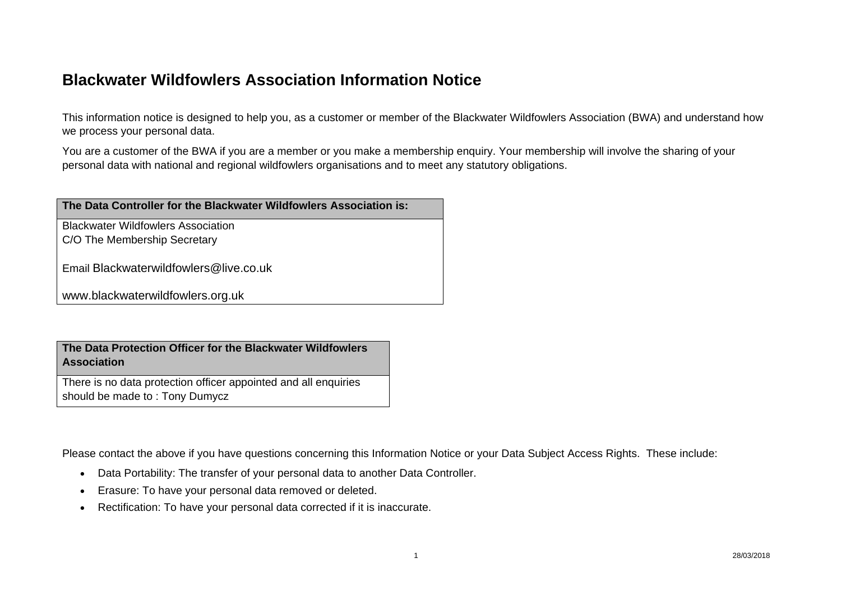## **Blackwater Wildfowlers Association Information Notice**

This information notice is designed to help you, as a customer or member of the Blackwater Wildfowlers Association (BWA) and understand how we process your personal data.

You are a customer of the BWA if you are a member or you make a membership enquiry. Your membership will involve the sharing of your personal data with national and regional wildfowlers organisations and to meet any statutory obligations.

| The Data Controller for the Blackwater Wildfowlers Association is: |
|--------------------------------------------------------------------|
| <b>Blackwater Wildfowlers Association</b>                          |
| C/O The Membership Secretary                                       |
| Email Blackwaterwildfowlers@live.co.uk                             |
| www.blackwaterwildfowlers.org.uk                                   |
|                                                                    |

**The Data Protection Officer for the Blackwater Wildfowlers Association** 

There is no data protection officer appointed and all enquiries should be made to : Tony Dumycz

Please contact the above if you have questions concerning this Information Notice or your Data Subject Access Rights. These include:

- Data Portability: The transfer of your personal data to another Data Controller.
- Erasure: To have your personal data removed or deleted.
- $\bullet$ Rectification: To have your personal data corrected if it is inaccurate.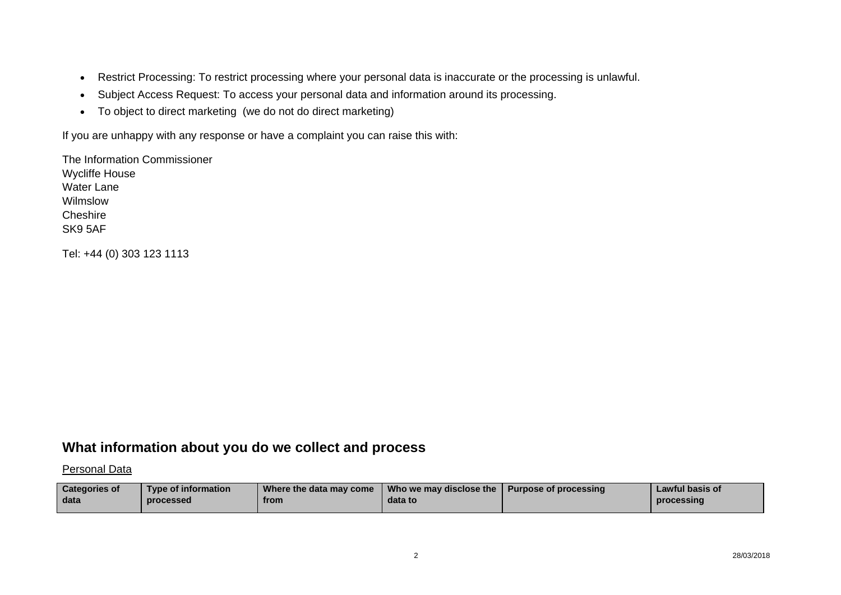- $\bullet$ Restrict Processing: To restrict processing where your personal data is inaccurate or the processing is unlawful.
- Subject Access Request: To access your personal data and information around its processing.
- To object to direct marketing (we do not do direct marketing)

If you are unhappy with any response or have a complaint you can raise this with:

The Information CommissionerWycliffe House Water LaneWilmslow**Cheshire** SK9 5AF

Tel: +44 (0) 303 123 1113

#### **What information about you do we collect and process**

Personal Data

| <b>Categories of</b> | <b>Type of information</b> | Where the data may come | Who we may disclose the   Purpose of processing | Lawful basis of |
|----------------------|----------------------------|-------------------------|-------------------------------------------------|-----------------|
| data                 | processed                  | from                    | data to                                         | processing      |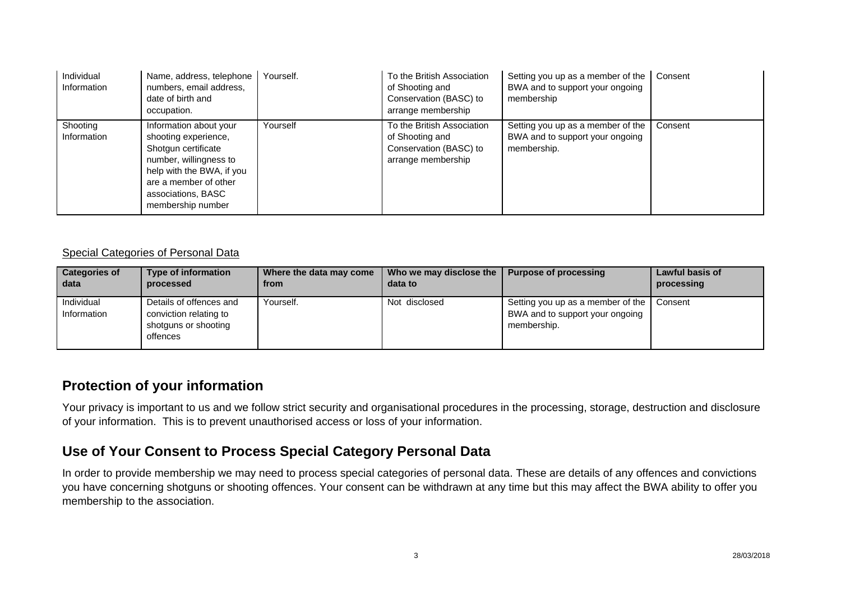| Individual<br>Information | Name, address, telephone<br>numbers, email address,<br>date of birth and<br>occupation.                                                                                                          | Yourself. | To the British Association<br>of Shooting and<br>Conservation (BASC) to<br>arrange membership | Setting you up as a member of the<br>BWA and to support your ongoing<br>membership  | Consent |
|---------------------------|--------------------------------------------------------------------------------------------------------------------------------------------------------------------------------------------------|-----------|-----------------------------------------------------------------------------------------------|-------------------------------------------------------------------------------------|---------|
| Shooting<br>Information   | Information about your<br>shooting experience,<br>Shotgun certificate<br>number, willingness to<br>help with the BWA, if you<br>are a member of other<br>associations, BASC<br>membership number | Yourself  | To the British Association<br>of Shooting and<br>Conservation (BASC) to<br>arrange membership | Setting you up as a member of the<br>BWA and to support your ongoing<br>membership. | Consent |

#### Special Categories of Personal Data

| <b>Categories of</b>      | <b>Type of information</b>                                                            | Where the data may come | Who we may disclose the | <b>Purpose of processing</b>                                                        | <b>Lawful basis of</b> |
|---------------------------|---------------------------------------------------------------------------------------|-------------------------|-------------------------|-------------------------------------------------------------------------------------|------------------------|
| data                      | processed                                                                             | from                    | data to                 |                                                                                     | processing             |
| Individual<br>Information | Details of offences and<br>conviction relating to<br>shotguns or shooting<br>offences | Yourself.               | Not disclosed           | Setting you up as a member of the<br>BWA and to support your ongoing<br>membership. | Consent                |

#### **Protection of your information**

Your privacy is important to us and we follow strict security and organisational procedures in the processing, storage, destruction and disclosure of your information. This is to prevent unauthorised access or loss of your information.

#### **Use of Your Consent to Process Special Category Personal Data**

In order to provide membership we may need to process special categories of personal data. These are details of any offences and convictions you have concerning shotguns or shooting offences. Your consent can be withdrawn at any time but this may affect the BWA ability to offer you membership to the association.